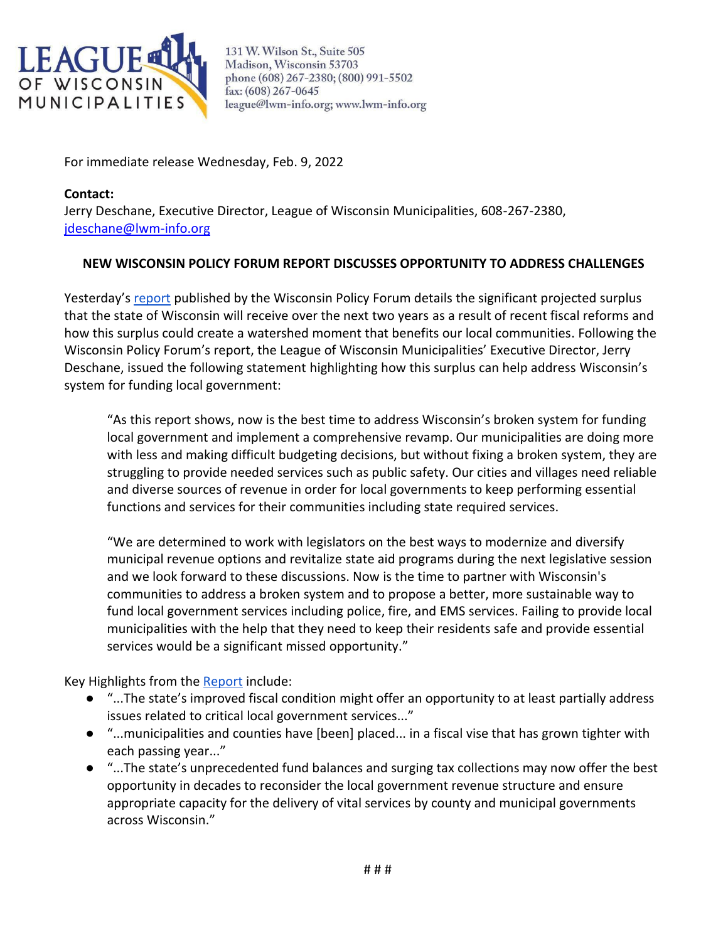

131 W. Wilson St., Suite 505 Madison, Wisconsin 53703 phone (608) 267-2380; (800) 991-5502 fax: (608) 267-0645 league@lwm-info.org; www.lwm-info.org

For immediate release Wednesday, Feb. 9, 2022

**Contact:**  Jerry Deschane, Executive Director, League of Wisconsin Municipalities, 608-267-2380, [jdeschane@lwm-info.org](mailto:jdeschane@lwm-info.org)

## **NEW WISCONSIN POLICY FORUM REPORT DISCUSSES OPPORTUNITY TO ADDRESS CHALLENGES**

Yesterday's [report](https://wispolicyforum.org/research/could-surplus-help-improve-state-local-relations/) published by the Wisconsin Policy Forum details the significant projected surplus that the state of Wisconsin will receive over the next two years as a result of recent fiscal reforms and how this surplus could create a watershed moment that benefits our local communities. Following the Wisconsin Policy Forum's report, the League of Wisconsin Municipalities' Executive Director, Jerry Deschane, issued the following statement highlighting how this surplus can help address Wisconsin's system for funding local government:

"As this report shows, now is the best time to address Wisconsin's broken system for funding local government and implement a comprehensive revamp. Our municipalities are doing more with less and making difficult budgeting decisions, but without fixing a broken system, they are struggling to provide needed services such as public safety. Our cities and villages need reliable and diverse sources of revenue in order for local governments to keep performing essential functions and services for their communities including state required services.

"We are determined to work with legislators on the best ways to modernize and diversify municipal revenue options and revitalize state aid programs during the next legislative session and we look forward to these discussions. Now is the time to partner with Wisconsin's communities to address a broken system and to propose a better, more sustainable way to fund local government services including police, fire, and EMS services. Failing to provide local municipalities with the help that they need to keep their residents safe and provide essential services would be a significant missed opportunity."

Key Highlights from the [Report](https://wispolicyforum.org/research/could-surplus-help-improve-state-local-relations/) include:

- "...The state's improved fiscal condition might offer an opportunity to at least partially address issues related to critical local government services..."
- "...municipalities and counties have [been] placed... in a fiscal vise that has grown tighter with each passing year..."
- "...The state's unprecedented fund balances and surging tax collections may now offer the best opportunity in decades to reconsider the local government revenue structure and ensure appropriate capacity for the delivery of vital services by county and municipal governments across Wisconsin."